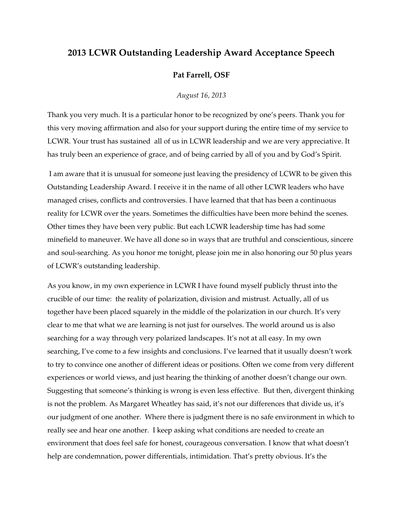## **2013 LCWR Outstanding Leadership Award Acceptance Speech**

## **Pat Farrell, OSF**

*August 16, 2013* 

Thank you very much. It is a particular honor to be recognized by one's peers. Thank you for this very moving affirmation and also for your support during the entire time of my service to LCWR. Your trust has sustained all of us in LCWR leadership and we are very appreciative. It has truly been an experience of grace, and of being carried by all of you and by God's Spirit.

 I am aware that it is unusual for someone just leaving the presidency of LCWR to be given this Outstanding Leadership Award. I receive it in the name of all other LCWR leaders who have managed crises, conflicts and controversies. I have learned that that has been a continuous reality for LCWR over the years. Sometimes the difficulties have been more behind the scenes. Other times they have been very public. But each LCWR leadership time has had some minefield to maneuver. We have all done so in ways that are truthful and conscientious, sincere and soul-searching. As you honor me tonight, please join me in also honoring our 50 plus years of LCWR's outstanding leadership.

As you know, in my own experience in LCWR I have found myself publicly thrust into the crucible of our time: the reality of polarization, division and mistrust. Actually, all of us together have been placed squarely in the middle of the polarization in our church. It's very clear to me that what we are learning is not just for ourselves. The world around us is also searching for a way through very polarized landscapes. It's not at all easy. In my own searching, I've come to a few insights and conclusions. I've learned that it usually doesn't work to try to convince one another of different ideas or positions. Often we come from very different experiences or world views, and just hearing the thinking of another doesn't change our own. Suggesting that someone's thinking is wrong is even less effective. But then, divergent thinking is not the problem. As Margaret Wheatley has said, it's not our differences that divide us, it's our judgment of one another. Where there is judgment there is no safe environment in which to really see and hear one another. I keep asking what conditions are needed to create an environment that does feel safe for honest, courageous conversation. I know that what doesn't help are condemnation, power differentials, intimidation. That's pretty obvious. It's the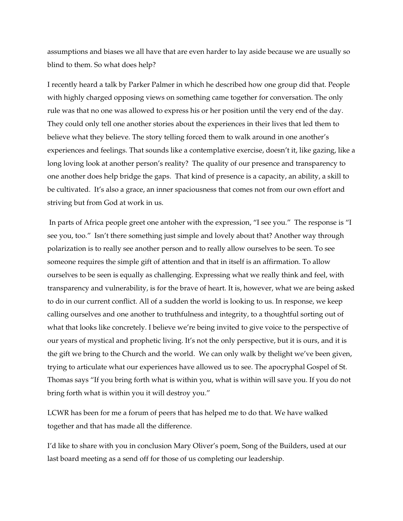assumptions and biases we all have that are even harder to lay aside because we are usually so blind to them. So what does help?

I recently heard a talk by Parker Palmer in which he described how one group did that. People with highly charged opposing views on something came together for conversation. The only rule was that no one was allowed to express his or her position until the very end of the day. They could only tell one another stories about the experiences in their lives that led them to believe what they believe. The story telling forced them to walk around in one another's experiences and feelings. That sounds like a contemplative exercise, doesn't it, like gazing, like a long loving look at another person's reality? The quality of our presence and transparency to one another does help bridge the gaps. That kind of presence is a capacity, an ability, a skill to be cultivated. It's also a grace, an inner spaciousness that comes not from our own effort and striving but from God at work in us.

 In parts of Africa people greet one antoher with the expression, "I see you." The response is "I see you, too." Isn't there something just simple and lovely about that? Another way through polarization is to really see another person and to really allow ourselves to be seen. To see someone requires the simple gift of attention and that in itself is an affirmation. To allow ourselves to be seen is equally as challenging. Expressing what we really think and feel, with transparency and vulnerability, is for the brave of heart. It is, however, what we are being asked to do in our current conflict. All of a sudden the world is looking to us. In response, we keep calling ourselves and one another to truthfulness and integrity, to a thoughtful sorting out of what that looks like concretely. I believe we're being invited to give voice to the perspective of our years of mystical and prophetic living. It's not the only perspective, but it is ours, and it is the gift we bring to the Church and the world. We can only walk by thelight we've been given, trying to articulate what our experiences have allowed us to see. The apocryphal Gospel of St. Thomas says "If you bring forth what is within you, what is within will save you. If you do not bring forth what is within you it will destroy you."

LCWR has been for me a forum of peers that has helped me to do that. We have walked together and that has made all the difference.

I'd like to share with you in conclusion Mary Oliver's poem, Song of the Builders, used at our last board meeting as a send off for those of us completing our leadership.